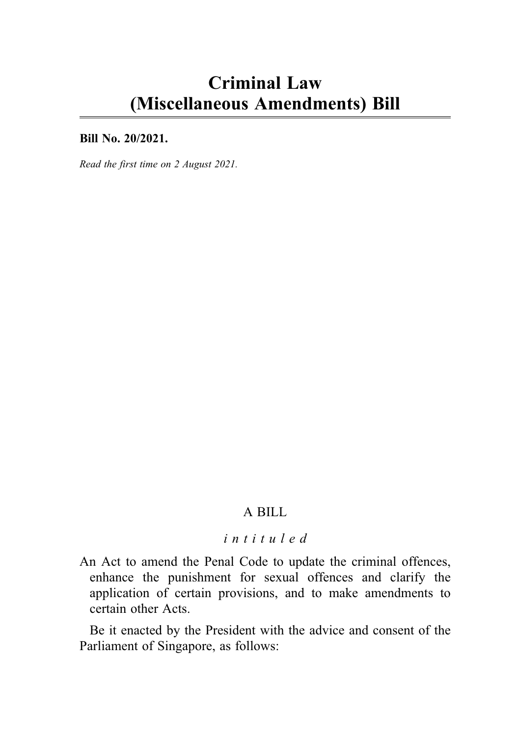# Criminal Law (Miscellaneous Amendments) Bill

#### Bill No. 20/2021.

Read the first time on 2 August 2021.

# A BILL

### intituled

An Act to amend the Penal Code to update the criminal offences, enhance the punishment for sexual offences and clarify the application of certain provisions, and to make amendments to certain other Acts.

Be it enacted by the President with the advice and consent of the Parliament of Singapore, as follows: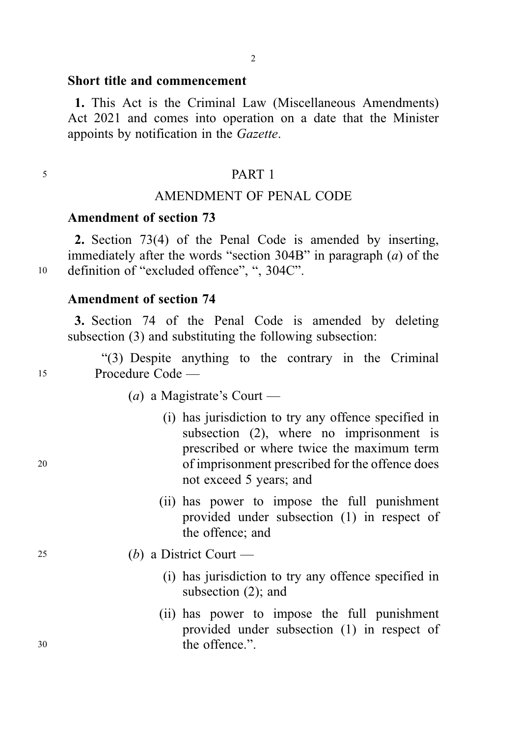#### Short title and commencement

1. This Act is the Criminal Law (Miscellaneous Amendments) Act 2021 and comes into operation on a date that the Minister appoints by notification in the Gazette.

#### <sup>5</sup> PART 1

### AMENDMENT OF PENAL CODE

### Amendment of section 73

2. Section 73(4) of the Penal Code is amended by inserting, immediately after the words "section  $304B$ " in paragraph (*a*) of the <sup>10</sup> definition of "excluded offence", ", 304C".

### Amendment of section 74

3. Section 74 of the Penal Code is amended by deleting subsection (3) and substituting the following subsection:

"(3) Despite anything to the contrary in the Criminal <sup>15</sup> Procedure Code —

- (*a*) a Magistrate's Court —
- (i) has jurisdiction to try any offence specified in subsection (2), where no imprisonment is prescribed or where twice the maximum term <sup>20</sup> of imprisonment prescribed for the offence does not exceed 5 years; and
	- (ii) has power to impose the full punishment provided under subsection (1) in respect of the offence; and
- <sup>25</sup> (b) a District Court
	- (i) has jurisdiction to try any offence specified in subsection (2); and
- (ii) has power to impose the full punishment provided under subsection (1) in respect of <sup>30</sup> the offence.".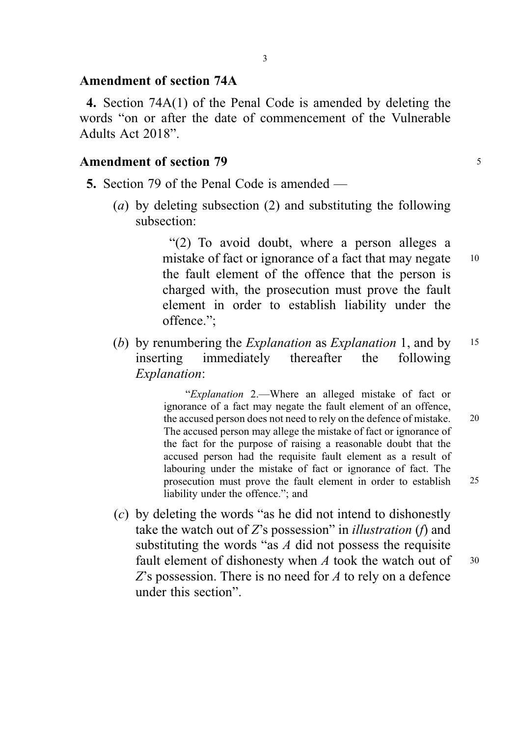### Amendment of section 74A

4. Section 74A(1) of the Penal Code is amended by deleting the words "on or after the date of commencement of the Vulnerable Adults Act 2018".

### Amendment of section 79 <sup>5</sup>

- 5. Section 79 of the Penal Code is amended
	- (a) by deleting subsection (2) and substituting the following subsection:

"(2) To avoid doubt, where a person alleges a mistake of fact or ignorance of a fact that may negate 10 the fault element of the offence that the person is charged with, the prosecution must prove the fault element in order to establish liability under the offence.";

(b) by renumbering the *Explanation* as *Explanation* 1, and by 15 inserting immediately thereafter the following Explanation:

> "Explanation 2.—Where an alleged mistake of fact or ignorance of a fact may negate the fault element of an offence, the accused person does not need to rely on the defence of mistake. 20 The accused person may allege the mistake of fact or ignorance of the fact for the purpose of raising a reasonable doubt that the accused person had the requisite fault element as a result of labouring under the mistake of fact or ignorance of fact. The prosecution must prove the fault element in order to establish 25 liability under the offence."; and

(c) by deleting the words "as he did not intend to dishonestly take the watch out of  $Z$ 's possession" in *illustration* (*f*) and substituting the words "as  $A$  did not possess the requisite fault element of dishonesty when  $A$  took the watch out of  $30$ Z's possession. There is no need for A to rely on a defence under this section".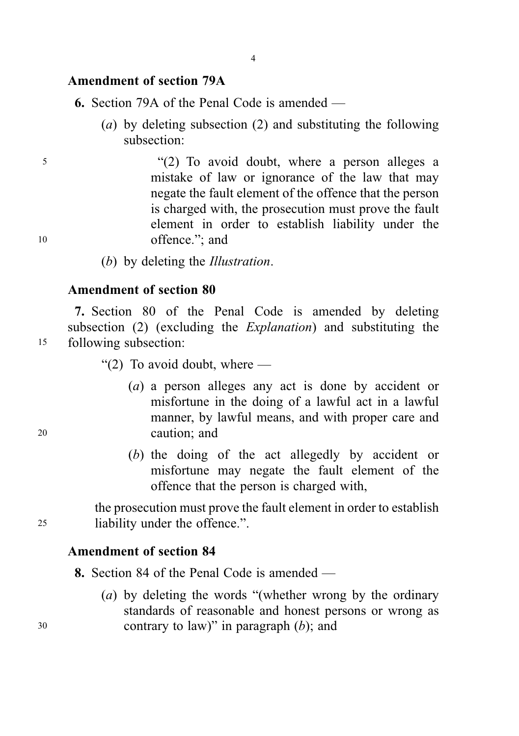#### Amendment of section 79A

6. Section 79A of the Penal Code is amended —

(a) by deleting subsection (2) and substituting the following subsection:

<sup>5</sup> "(2) To avoid doubt, where a person alleges a mistake of law or ignorance of the law that may negate the fault element of the offence that the person is charged with, the prosecution must prove the fault element in order to establish liability under the 10 offence."; and

(b) by deleting the Illustration.

### Amendment of section 80

7. Section 80 of the Penal Code is amended by deleting subsection (2) (excluding the Explanation) and substituting the <sup>15</sup> following subsection:

" $(2)$  To avoid doubt, where —

- (a) a person alleges any act is done by accident or misfortune in the doing of a lawful act in a lawful manner, by lawful means, and with proper care and <sup>20</sup> caution; and
	- (b) the doing of the act allegedly by accident or misfortune may negate the fault element of the offence that the person is charged with,

the prosecution must prove the fault element in order to establish <sup>25</sup> liability under the offence.".

### Amendment of section 84

8. Section 84 of the Penal Code is amended —

(a) by deleting the words "(whether wrong by the ordinary standards of reasonable and honest persons or wrong as  $30$  contrary to law)" in paragraph (b); and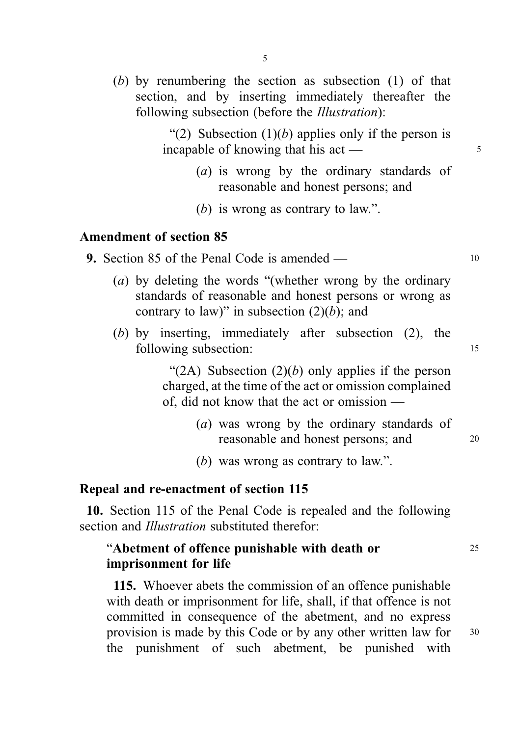(b) by renumbering the section as subsection (1) of that section, and by inserting immediately thereafter the following subsection (before the *Illustration*):

> "(2) Subsection  $(1)(b)$  applies only if the person is incapable of knowing that his  $\arct{a}$  act  $\frac{1}{5}$

- (a) is wrong by the ordinary standards of reasonable and honest persons; and
- (b) is wrong as contrary to law.".

### Amendment of section 85

- 9. Section 85 of the Penal Code is amended 10
	- (a) by deleting the words "(whether wrong by the ordinary standards of reasonable and honest persons or wrong as contrary to law)" in subsection  $(2)(b)$ ; and
	- (b) by inserting, immediately after subsection (2), the following subsection: 15

"(2A) Subsection  $(2)(b)$  only applies if the person charged, at the time of the act or omission complained of, did not know that the act or omission —

- (a) was wrong by the ordinary standards of reasonable and honest persons; and 20
- (b) was wrong as contrary to law.".

### Repeal and re-enactment of section 115

10. Section 115 of the Penal Code is repealed and the following section and *Illustration* substituted therefor:

# "Abetment of offence punishable with death or 25 imprisonment for life

115. Whoever abets the commission of an offence punishable with death or imprisonment for life, shall, if that offence is not committed in consequence of the abetment, and no express provision is made by this Code or by any other written law for <sup>30</sup> the punishment of such abetment, be punished with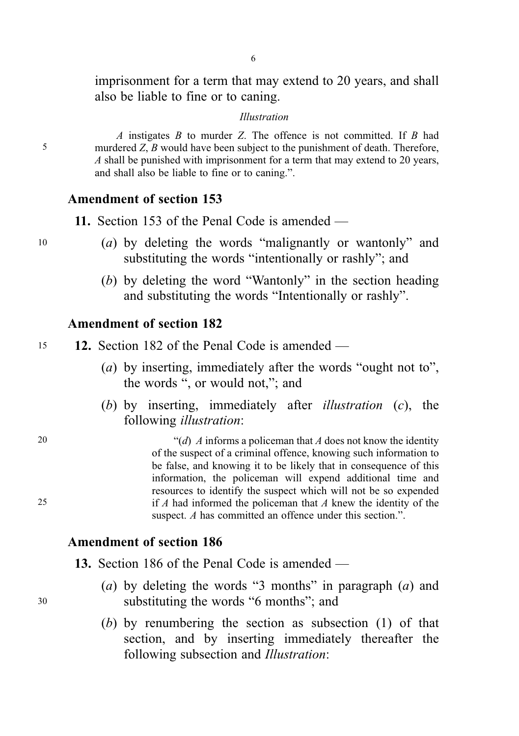imprisonment for a term that may extend to 20 years, and shall also be liable to fine or to caning.

#### Illustration

A instigates  $B$  to murder  $Z$ . The offence is not committed. If  $B$  had 5 murdered Z, B would have been subject to the punishment of death. Therefore, A shall be punished with imprisonment for a term that may extend to 20 years, and shall also be liable to fine or to caning.".

### Amendment of section 153

11. Section 153 of the Penal Code is amended —

- <sup>10</sup> (a) by deleting the words "malignantly or wantonly" and substituting the words "intentionally or rashly"; and
	- (b) by deleting the word "Wantonly" in the section heading and substituting the words "Intentionally or rashly".

# Amendment of section 182

| 12. Section 182 of the Penal Code is amended $-$<br>15 |  |
|--------------------------------------------------------|--|
|--------------------------------------------------------|--|

- (a) by inserting, immediately after the words "ought not to", the words ", or would not,"; and
- (b) by inserting, immediately after *illustration* (c), the following illustration:

20  $\frac{d}{d}$  A informs a policeman that A does not know the identity of the suspect of a criminal offence, knowing such information to be false, and knowing it to be likely that in consequence of this information, the policeman will expend additional time and resources to identify the suspect which will not be so expended 25 if A had informed the policeman that A knew the identity of the suspect. A has committed an offence under this section.".

#### Amendment of section 186

13. Section 186 of the Penal Code is amended —

- (a) by deleting the words "3 months" in paragraph  $(a)$  and <sup>30</sup> substituting the words "6 months"; and
	- (b) by renumbering the section as subsection (1) of that section, and by inserting immediately thereafter the following subsection and Illustration: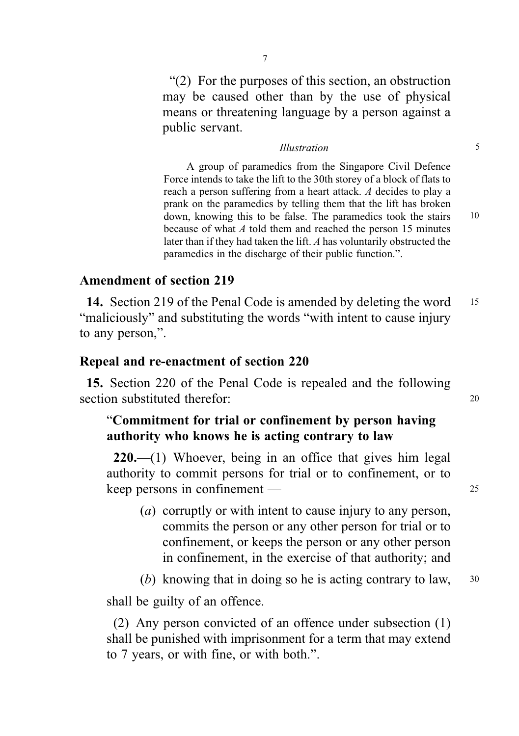"(2) For the purposes of this section, an obstruction may be caused other than by the use of physical means or threatening language by a person against a public servant.

#### Illustration 5

A group of paramedics from the Singapore Civil Defence Force intends to take the lift to the 30th storey of a block of flats to reach a person suffering from a heart attack. A decides to play a prank on the paramedics by telling them that the lift has broken down, knowing this to be false. The paramedics took the stairs 10 because of what A told them and reached the person 15 minutes later than if they had taken the lift. A has voluntarily obstructed the paramedics in the discharge of their public function.".

### Amendment of section 219

14. Section 219 of the Penal Code is amended by deleting the word 15 "maliciously" and substituting the words "with intent to cause injury to any person,".

### Repeal and re-enactment of section 220

15. Section 220 of the Penal Code is repealed and the following section substituted therefor: 20

# "Commitment for trial or confinement by person having authority who knows he is acting contrary to law

220.—(1) Whoever, being in an office that gives him legal authority to commit persons for trial or to confinement, or to keep persons in confinement — 25

- (a) corruptly or with intent to cause injury to any person, commits the person or any other person for trial or to confinement, or keeps the person or any other person in confinement, in the exercise of that authority; and
- (b) knowing that in doing so he is acting contrary to law,  $30$

shall be guilty of an offence.

(2) Any person convicted of an offence under subsection (1) shall be punished with imprisonment for a term that may extend to 7 years, or with fine, or with both.".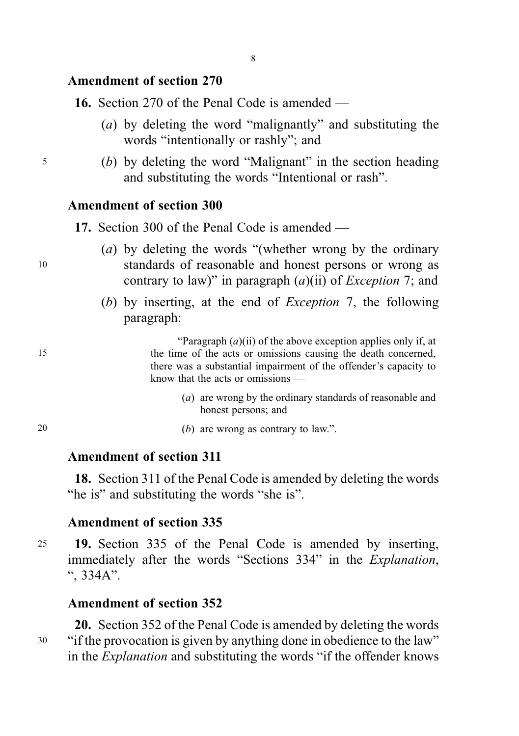# Amendment of section 270

16. Section 270 of the Penal Code is amended —

- (a) by deleting the word "malignantly" and substituting the words "intentionally or rashly"; and
- <sup>5</sup> (b) by deleting the word "Malignant" in the section heading and substituting the words "Intentional or rash".

### Amendment of section 300

17. Section 300 of the Penal Code is amended —

- (a) by deleting the words "(whether wrong by the ordinary <sup>10</sup> standards of reasonable and honest persons or wrong as contrary to law)" in paragraph  $(a)(ii)$  of *Exception* 7; and
	- (b) by inserting, at the end of Exception 7, the following paragraph:

"Paragraph  $(a)$ (ii) of the above exception applies only if, at 15 the time of the acts or omissions causing the death concerned, there was a substantial impairment of the offender's capacity to know that the acts or omissions —

- (a) are wrong by the ordinary standards of reasonable and honest persons; and
- 20  $(b)$  are wrong as contrary to law.".

### Amendment of section 311

18. Section 311 of the Penal Code is amended by deleting the words "he is" and substituting the words "she is".

### Amendment of section 335

<sup>25</sup> 19. Section 335 of the Penal Code is amended by inserting, immediately after the words "Sections 334" in the Explanation, ", 334A".

# Amendment of section 352

20. Section 352 of the Penal Code is amended by deleting the words <sup>30</sup> "if the provocation is given by anything done in obedience to the law" in the Explanation and substituting the words "if the offender knows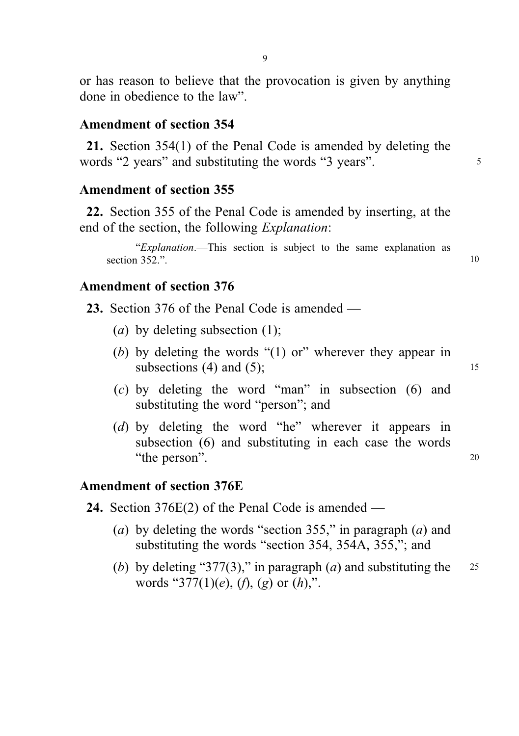9

or has reason to believe that the provocation is given by anything done in obedience to the law".

### Amendment of section 354

21. Section 354(1) of the Penal Code is amended by deleting the words "2 years" and substituting the words "3 years".

### Amendment of section 355

22. Section 355 of the Penal Code is amended by inserting, at the end of the section, the following Explanation:

"Explanation.—This section is subject to the same explanation as section  $352$ .".

### Amendment of section 376

- 23. Section 376 of the Penal Code is amended
	- (a) by deleting subsection  $(1)$ :
	- (b) by deleting the words "(1) or" wherever they appear in subsections (4) and (5); 15
	- (c) by deleting the word "man" in subsection (6) and substituting the word "person"; and
	- (d) by deleting the word "he" wherever it appears in subsection (6) and substituting in each case the words "the person". 20

# Amendment of section 376E

- 24. Section 376E(2) of the Penal Code is amended
	- (a) by deleting the words "section 355," in paragraph  $(a)$  and substituting the words "section 354, 354A, 355,"; and
	- (b) by deleting "377(3)," in paragraph (a) and substituting the 25 words "377(1)(e), (f), (g) or  $(h)$ ,".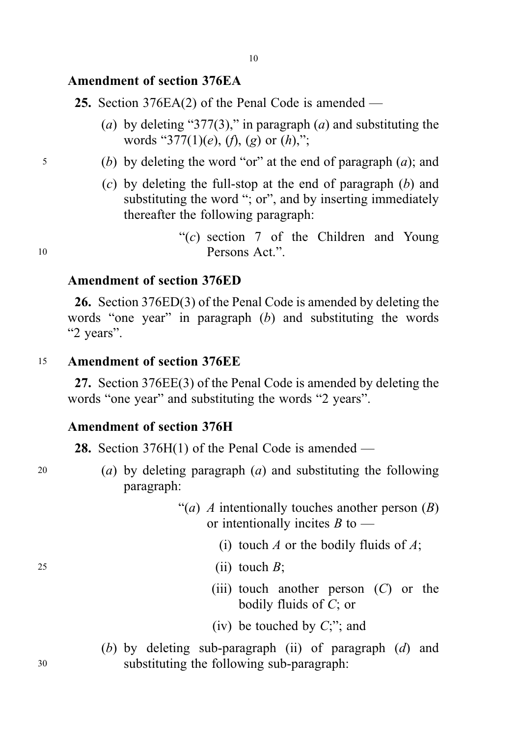# Amendment of section 376EA

25. Section 376EA(2) of the Penal Code is amended —

- (a) by deleting "377(3)," in paragraph (a) and substituting the words "377(1)(e), (f), (g) or (h),";
- $5$  (b) by deleting the word "or" at the end of paragraph (a); and
	- $(c)$  by deleting the full-stop at the end of paragraph  $(b)$  and substituting the word "; or", and by inserting immediately thereafter the following paragraph:

" $(c)$  section 7 of the Children and Young" <sup>10</sup> Persons Act.".

### Amendment of section 376ED

26. Section 376ED(3) of the Penal Code is amended by deleting the words "one year" in paragraph  $(b)$  and substituting the words "2 years".

<sup>15</sup> Amendment of section 376EE

27. Section 376EE(3) of the Penal Code is amended by deleting the words "one year" and substituting the words "2 years".

#### Amendment of section 376H

28. Section  $376H(1)$  of the Penal Code is amended —

- 
- 20 (a) by deleting paragraph  $(a)$  and substituting the following paragraph:
	- "(*a*) *A* intentionally touches another person  $(B)$ or intentionally incites  $B$  to —
		- (i) touch A or the bodily fluids of  $A$ ;
- $25$  (ii) touch  $B$ ;
	- (iii) touch another person  $(C)$  or the bodily fluids of C; or
	- (iv) be touched by  $C$ ;"; and
- (b) by deleting sub-paragraph (ii) of paragraph  $(d)$  and <sup>30</sup> substituting the following sub-paragraph: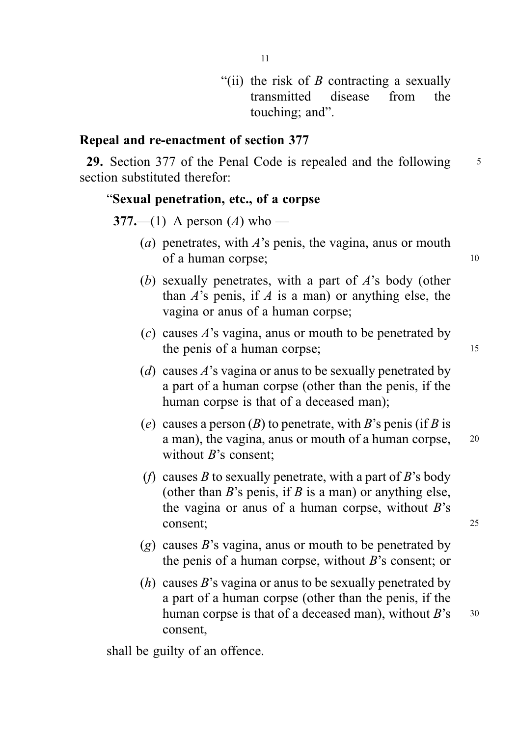"(ii) the risk of  $B$  contracting a sexually transmitted disease from the touching; and".

# Repeal and re-enactment of section 377

29. Section 377 of the Penal Code is repealed and the following 5 section substituted therefor:

#### "Sexual penetration, etc., of a corpse

377.—(1) A person  $(A)$  who —

- (a) penetrates, with  $A$ 's penis, the vagina, anus or mouth of a human corpse; 10
- (b) sexually penetrates, with a part of A's body (other than  $A$ 's penis, if  $A$  is a man) or anything else, the vagina or anus of a human corpse;
- (c) causes  $A$ 's vagina, anus or mouth to be penetrated by the penis of a human corpse; 15
- (d) causes  $A$ 's vagina or anus to be sexually penetrated by a part of a human corpse (other than the penis, if the human corpse is that of a deceased man);
- (e) causes a person  $(B)$  to penetrate, with B's penis (if B is a man), the vagina, anus or mouth of a human corpse, <sup>20</sup> without  $B$ 's consent;
- (f) causes B to sexually penetrate, with a part of B's body (other than  $B$ 's penis, if  $B$  is a man) or anything else, the vagina or anus of a human corpse, without  $B$ 's consent; 25
- $(g)$  causes B's vagina, anus or mouth to be penetrated by the penis of a human corpse, without  $B$ 's consent; or
- (*h*) causes *B*'s vagina or anus to be sexually penetrated by a part of a human corpse (other than the penis, if the human corpse is that of a deceased man), without  $B$ 's  $30$ consent,

shall be guilty of an offence.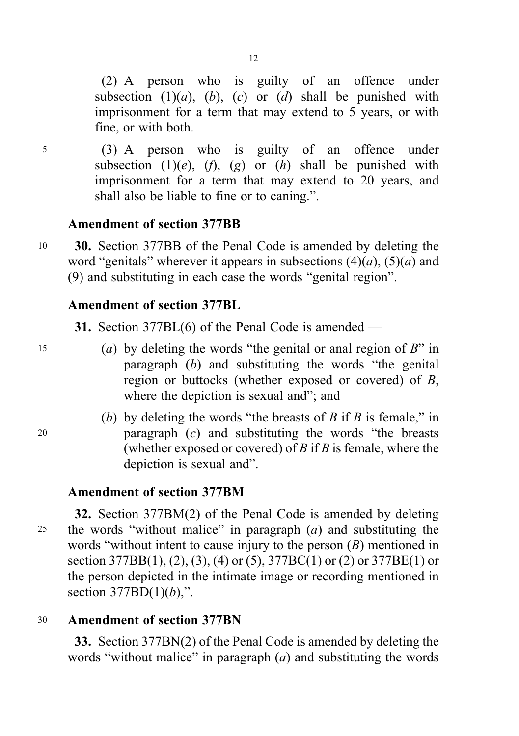(2) A person who is guilty of an offence under subsection  $(1)(a)$ ,  $(b)$ ,  $(c)$  or  $(d)$  shall be punished with imprisonment for a term that may extend to 5 years, or with fine, or with both.

<sup>5</sup> (3) A person who is guilty of an offence under subsection (1)(e), (f), (g) or (h) shall be punished with imprisonment for a term that may extend to 20 years, and shall also be liable to fine or to caning.".

### Amendment of section 377BB

<sup>10</sup> 30. Section 377BB of the Penal Code is amended by deleting the word "genitals" wherever it appears in subsections  $(4)(a)$ ,  $(5)(a)$  and (9) and substituting in each case the words "genital region".

### Amendment of section 377BL

31. Section 377BL(6) of the Penal Code is amended —

- 15 (a) by deleting the words "the genital or anal region of  $B$ " in paragraph  $(b)$  and substituting the words "the genital region or buttocks (whether exposed or covered) of B, where the depiction is sexual and"; and
- (b) by deleting the words "the breasts of B if B is female," in <sup>20</sup> paragraph (c) and substituting the words "the breasts (whether exposed or covered) of  $B$  if  $B$  is female, where the depiction is sexual and".

# Amendment of section 377BM

32. Section 377BM(2) of the Penal Code is amended by deleting 25 the words "without malice" in paragraph  $(a)$  and substituting the words "without intent to cause injury to the person  $(B)$  mentioned in section  $377BB(1)$ , (2), (3), (4) or (5),  $377BC(1)$  or (2) or  $377BE(1)$  or the person depicted in the intimate image or recording mentioned in section  $377BD(1)(b)$ ,".

# <sup>30</sup> Amendment of section 377BN

33. Section 377BN(2) of the Penal Code is amended by deleting the words "without malice" in paragraph  $(a)$  and substituting the words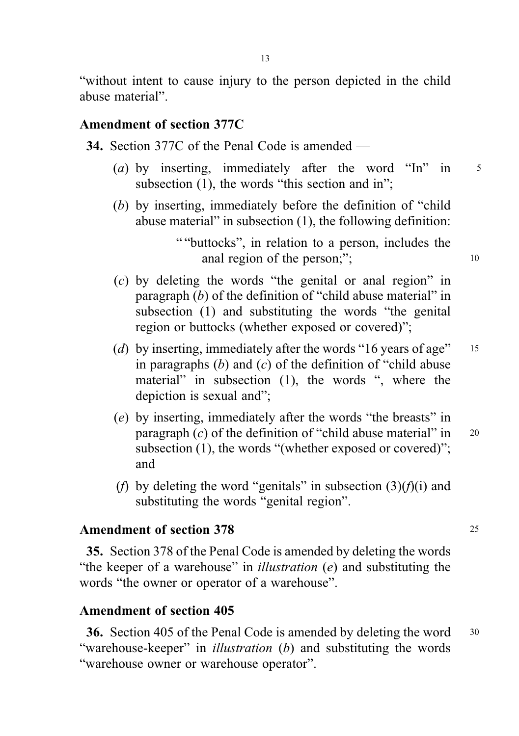"without intent to cause injury to the person depicted in the child abuse material".

### Amendment of section 377C

34. Section 377C of the Penal Code is amended —

- (a) by inserting, immediately after the word "In" in  $5$ subsection (1), the words "this section and in":
- (b) by inserting, immediately before the definition of "child abuse material" in subsection (1), the following definition:

" "buttocks", in relation to a person, includes the anal region of the person;"; 10

- (c) by deleting the words "the genital or anal region" in paragraph (b) of the definition of "child abuse material" in subsection (1) and substituting the words "the genital region or buttocks (whether exposed or covered)";
- (d) by inserting, immediately after the words "16 years of age"  $15$ in paragraphs  $(b)$  and  $(c)$  of the definition of "child abuse" material" in subsection (1), the words ", where the depiction is sexual and";
- (e) by inserting, immediately after the words "the breasts" in paragraph  $(c)$  of the definition of "child abuse material" in 20 subsection (1), the words "(whether exposed or covered)"; and
- (f) by deleting the word "genitals" in subsection  $(3)(f)(i)$  and substituting the words "genital region".

#### Amendment of section 378 25

35. Section 378 of the Penal Code is amended by deleting the words "the keeper of a warehouse" in *illustration*  $(e)$  and substituting the words "the owner or operator of a warehouse".

### Amendment of section 405

36. Section 405 of the Penal Code is amended by deleting the word <sup>30</sup> "warehouse-keeper" in *illustration* (b) and substituting the words "warehouse owner or warehouse operator".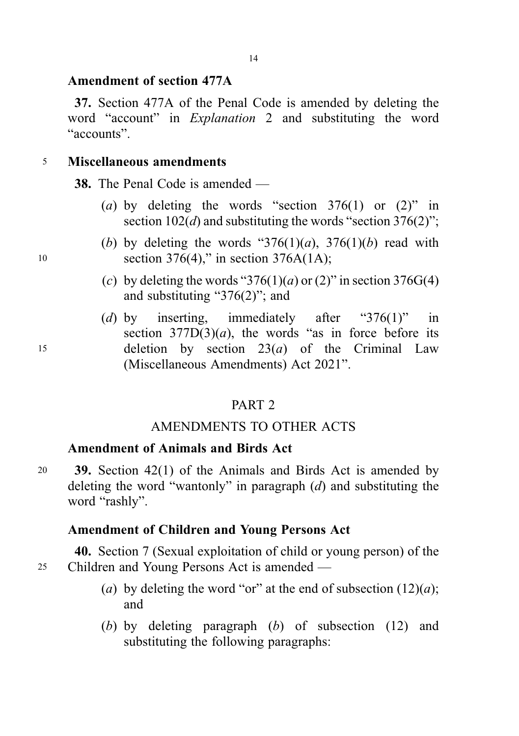### Amendment of section 477A

37. Section 477A of the Penal Code is amended by deleting the word "account" in Explanation 2 and substituting the word "accounts".

### <sup>5</sup> Miscellaneous amendments

38. The Penal Code is amended —

- (a) by deleting the words "section  $376(1)$  or  $(2)$ " in section  $102(d)$  and substituting the words "section 376(2)";
- (b) by deleting the words " $376(1)(a)$ ,  $376(1)(b)$  read with 10 section 376(4)," in section 376A(1A);
	- (c) by deleting the words "376(1)(*a*) or (2)" in section 376G(4) and substituting "376(2)"; and
- (d) by inserting, immediately after "376(1)" in section  $377D(3)(a)$ , the words "as in force before its 15 deletion by section  $23(a)$  of the Criminal Law (Miscellaneous Amendments) Act 2021".

# PART 2

### AMENDMENTS TO OTHER ACTS

### Amendment of Animals and Birds Act

<sup>20</sup> 39. Section 42(1) of the Animals and Birds Act is amended by deleting the word "wantonly" in paragraph  $(d)$  and substituting the word "rashly".

### Amendment of Children and Young Persons Act

40. Section 7 (Sexual exploitation of child or young person) of the <sup>25</sup> Children and Young Persons Act is amended —

- (a) by deleting the word "or" at the end of subsection  $(12)(a)$ ; and
- (b) by deleting paragraph (b) of subsection (12) and substituting the following paragraphs: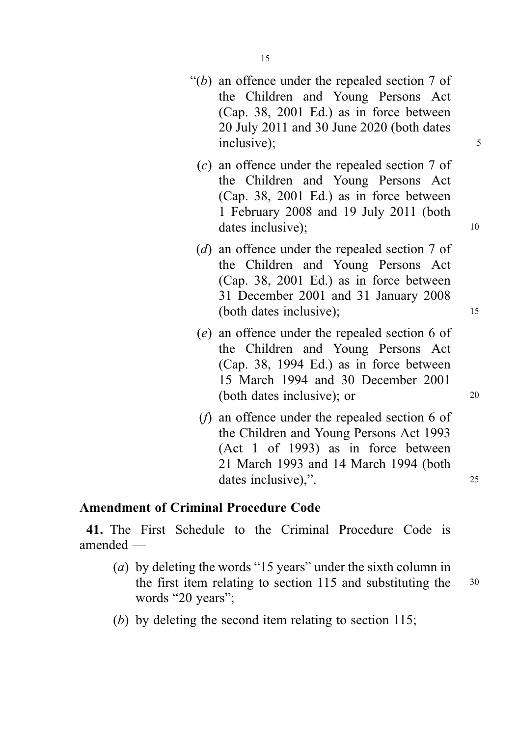- " $(b)$  an offence under the repealed section 7 of the Children and Young Persons Act (Cap. 38, 2001 Ed.) as in force between 20 July 2011 and 30 June 2020 (both dates inclusive); 5
	- (c) an offence under the repealed section 7 of the Children and Young Persons Act (Cap. 38, 2001 Ed.) as in force between 1 February 2008 and 19 July 2011 (both dates inclusive): 10
	- (d) an offence under the repealed section 7 of the Children and Young Persons Act (Cap. 38, 2001 Ed.) as in force between 31 December 2001 and 31 January 2008 (both dates inclusive); 15
	- (e) an offence under the repealed section 6 of the Children and Young Persons Act (Cap. 38, 1994 Ed.) as in force between 15 March 1994 and 30 December 2001 (both dates inclusive); or 20
	- (f) an offence under the repealed section 6 of the Children and Young Persons Act 1993 (Act 1 of 1993) as in force between 21 March 1993 and 14 March 1994 (both dates inclusive),".

### Amendment of Criminal Procedure Code

41. The First Schedule to the Criminal Procedure Code is amended —

- (a) by deleting the words "15 years" under the sixth column in the first item relating to section 115 and substituting the <sup>30</sup> words "20 years":
	-
- (b) by deleting the second item relating to section 115;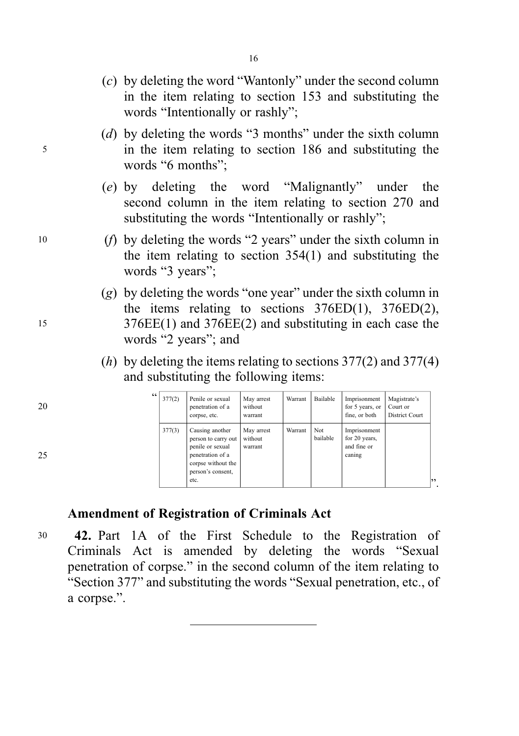- (c) by deleting the word "Wantonly" under the second column in the item relating to section 153 and substituting the words "Intentionally or rashly";
- (d) by deleting the words "3 months" under the sixth column <sup>5</sup> in the item relating to section 186 and substituting the words "6 months":
	- (e) by deleting the word "Malignantly" under the second column in the item relating to section 270 and substituting the words "Intentionally or rashly";
- <sup>10</sup> (f) by deleting the words "2 years" under the sixth column in the item relating to section 354(1) and substituting the words "3 years":
- (g) by deleting the words "one year" under the sixth column in the items relating to sections  $376ED(1)$ ,  $376ED(2)$ , <sup>15</sup> 376EE(1) and 376EE(2) and substituting in each case the words "2 years"; and
	- (*h*) by deleting the items relating to sections  $377(2)$  and  $377(4)$ and substituting the following items:

| 66  <br>377(2) | Penile or sexual<br>penetration of a<br>corpse, etc.                                                                              | May arrest<br>without<br>warrant | Warrant | Bailable         | Imprisonment<br>for 5 years, or<br>fine, or both       | Magistrate's<br>Court or<br>District Court |
|----------------|-----------------------------------------------------------------------------------------------------------------------------------|----------------------------------|---------|------------------|--------------------------------------------------------|--------------------------------------------|
| 377(3)         | Causing another<br>person to carry out<br>penile or sexual<br>penetration of a<br>corpse without the<br>person's consent,<br>etc. | May arrest<br>without<br>warrant | Warrant | Not.<br>bailable | Imprisonment<br>for 20 years,<br>and fine or<br>caning |                                            |

# Amendment of Registration of Criminals Act

30 42. Part 1A of the First Schedule to the Registration of Criminals Act is amended by deleting the words "Sexual penetration of corpse." in the second column of the item relating to "Section 377" and substituting the words "Sexual penetration, etc., of a corpse.".

- 20
- 25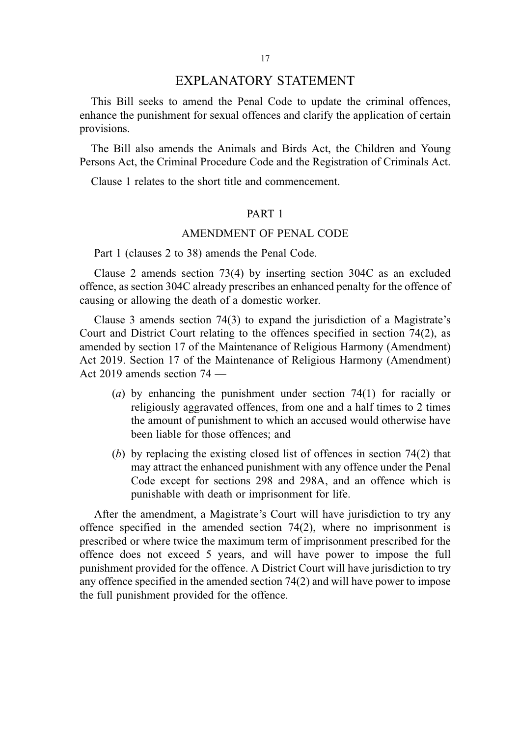This Bill seeks to amend the Penal Code to update the criminal offences, enhance the punishment for sexual offences and clarify the application of certain provisions.

The Bill also amends the Animals and Birds Act, the Children and Young Persons Act, the Criminal Procedure Code and the Registration of Criminals Act.

Clause 1 relates to the short title and commencement.

#### PART 1

#### AMENDMENT OF PENAL CODE

Part 1 (clauses 2 to 38) amends the Penal Code.

Clause 2 amends section 73(4) by inserting section 304C as an excluded offence, as section 304C already prescribes an enhanced penalty for the offence of causing or allowing the death of a domestic worker.

Clause 3 amends section 74(3) to expand the jurisdiction of a Magistrate's Court and District Court relating to the offences specified in section 74(2), as amended by section 17 of the Maintenance of Religious Harmony (Amendment) Act 2019. Section 17 of the Maintenance of Religious Harmony (Amendment) Act 2019 amends section 74 —

- (a) by enhancing the punishment under section 74(1) for racially or religiously aggravated offences, from one and a half times to 2 times the amount of punishment to which an accused would otherwise have been liable for those offences; and
- (b) by replacing the existing closed list of offences in section 74(2) that may attract the enhanced punishment with any offence under the Penal Code except for sections 298 and 298A, and an offence which is punishable with death or imprisonment for life.

After the amendment, a Magistrate's Court will have jurisdiction to try any offence specified in the amended section 74(2), where no imprisonment is prescribed or where twice the maximum term of imprisonment prescribed for the offence does not exceed 5 years, and will have power to impose the full punishment provided for the offence. A District Court will have jurisdiction to try any offence specified in the amended section 74(2) and will have power to impose the full punishment provided for the offence.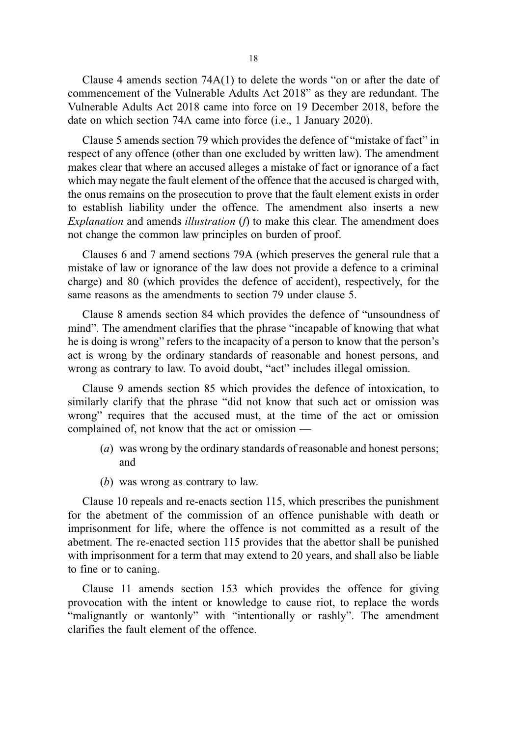Clause 4 amends section 74A(1) to delete the words "on or after the date of commencement of the Vulnerable Adults Act 2018" as they are redundant. The Vulnerable Adults Act 2018 came into force on 19 December 2018, before the date on which section 74A came into force (i.e., 1 January 2020).

Clause 5 amends section 79 which provides the defence of "mistake of fact" in respect of any offence (other than one excluded by written law). The amendment makes clear that where an accused alleges a mistake of fact or ignorance of a fact which may negate the fault element of the offence that the accused is charged with, the onus remains on the prosecution to prove that the fault element exists in order to establish liability under the offence. The amendment also inserts a new Explanation and amends *illustration*  $(f)$  to make this clear. The amendment does not change the common law principles on burden of proof.

Clauses 6 and 7 amend sections 79A (which preserves the general rule that a mistake of law or ignorance of the law does not provide a defence to a criminal charge) and 80 (which provides the defence of accident), respectively, for the same reasons as the amendments to section 79 under clause 5.

Clause 8 amends section 84 which provides the defence of "unsoundness of mind". The amendment clarifies that the phrase "incapable of knowing that what he is doing is wrong" refers to the incapacity of a person to know that the person's act is wrong by the ordinary standards of reasonable and honest persons, and wrong as contrary to law. To avoid doubt, "act" includes illegal omission.

Clause 9 amends section 85 which provides the defence of intoxication, to similarly clarify that the phrase "did not know that such act or omission was wrong" requires that the accused must, at the time of the act or omission complained of, not know that the act or omission —

- (a) was wrong by the ordinary standards of reasonable and honest persons; and
- (b) was wrong as contrary to law.

Clause 10 repeals and re-enacts section 115, which prescribes the punishment for the abetment of the commission of an offence punishable with death or imprisonment for life, where the offence is not committed as a result of the abetment. The re-enacted section 115 provides that the abettor shall be punished with imprisonment for a term that may extend to 20 years, and shall also be liable to fine or to caning.

Clause 11 amends section 153 which provides the offence for giving provocation with the intent or knowledge to cause riot, to replace the words "malignantly or wantonly" with "intentionally or rashly". The amendment clarifies the fault element of the offence.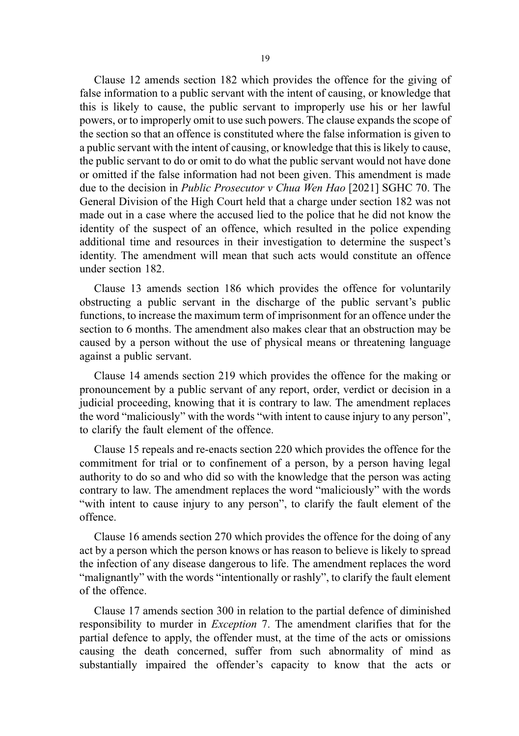Clause 12 amends section 182 which provides the offence for the giving of false information to a public servant with the intent of causing, or knowledge that this is likely to cause, the public servant to improperly use his or her lawful powers, or to improperly omit to use such powers. The clause expands the scope of the section so that an offence is constituted where the false information is given to a public servant with the intent of causing, or knowledge that this is likely to cause, the public servant to do or omit to do what the public servant would not have done or omitted if the false information had not been given. This amendment is made due to the decision in Public Prosecutor v Chua Wen Hao [2021] SGHC 70. The General Division of the High Court held that a charge under section 182 was not made out in a case where the accused lied to the police that he did not know the identity of the suspect of an offence, which resulted in the police expending additional time and resources in their investigation to determine the suspect's identity. The amendment will mean that such acts would constitute an offence under section 182.

Clause 13 amends section 186 which provides the offence for voluntarily obstructing a public servant in the discharge of the public servant's public functions, to increase the maximum term of imprisonment for an offence under the section to 6 months. The amendment also makes clear that an obstruction may be caused by a person without the use of physical means or threatening language against a public servant.

Clause 14 amends section 219 which provides the offence for the making or pronouncement by a public servant of any report, order, verdict or decision in a judicial proceeding, knowing that it is contrary to law. The amendment replaces the word "maliciously" with the words "with intent to cause injury to any person", to clarify the fault element of the offence.

Clause 15 repeals and re-enacts section 220 which provides the offence for the commitment for trial or to confinement of a person, by a person having legal authority to do so and who did so with the knowledge that the person was acting contrary to law. The amendment replaces the word "maliciously" with the words "with intent to cause injury to any person", to clarify the fault element of the offence.

Clause 16 amends section 270 which provides the offence for the doing of any act by a person which the person knows or has reason to believe is likely to spread the infection of any disease dangerous to life. The amendment replaces the word "malignantly" with the words "intentionally or rashly", to clarify the fault element of the offence.

Clause 17 amends section 300 in relation to the partial defence of diminished responsibility to murder in Exception 7. The amendment clarifies that for the partial defence to apply, the offender must, at the time of the acts or omissions causing the death concerned, suffer from such abnormality of mind as substantially impaired the offender's capacity to know that the acts or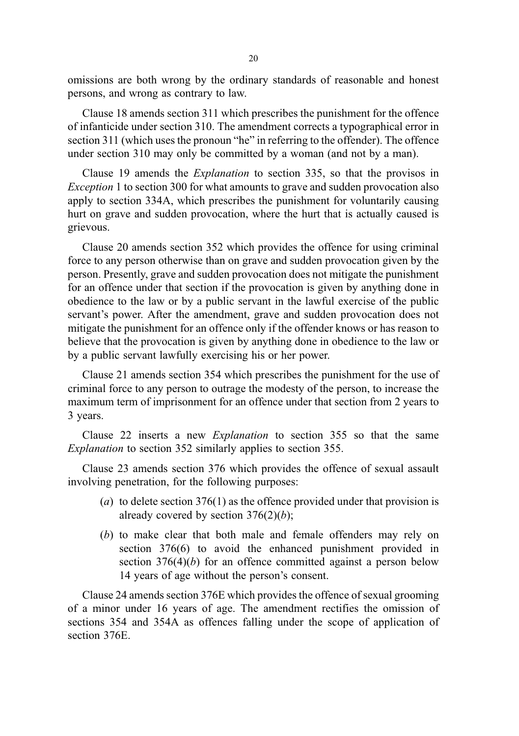omissions are both wrong by the ordinary standards of reasonable and honest persons, and wrong as contrary to law.

Clause 18 amends section 311 which prescribes the punishment for the offence of infanticide under section 310. The amendment corrects a typographical error in section 311 (which uses the pronoun "he" in referring to the offender). The offence under section 310 may only be committed by a woman (and not by a man).

Clause 19 amends the Explanation to section 335, so that the provisos in Exception 1 to section 300 for what amounts to grave and sudden provocation also apply to section 334A, which prescribes the punishment for voluntarily causing hurt on grave and sudden provocation, where the hurt that is actually caused is grievous.

Clause 20 amends section 352 which provides the offence for using criminal force to any person otherwise than on grave and sudden provocation given by the person. Presently, grave and sudden provocation does not mitigate the punishment for an offence under that section if the provocation is given by anything done in obedience to the law or by a public servant in the lawful exercise of the public servant's power. After the amendment, grave and sudden provocation does not mitigate the punishment for an offence only if the offender knows or has reason to believe that the provocation is given by anything done in obedience to the law or by a public servant lawfully exercising his or her power.

Clause 21 amends section 354 which prescribes the punishment for the use of criminal force to any person to outrage the modesty of the person, to increase the maximum term of imprisonment for an offence under that section from 2 years to 3 years.

Clause 22 inserts a new Explanation to section 355 so that the same Explanation to section 352 similarly applies to section 355.

Clause 23 amends section 376 which provides the offence of sexual assault involving penetration, for the following purposes:

- (a) to delete section  $376(1)$  as the offence provided under that provision is already covered by section  $376(2)(b)$ ;
- (b) to make clear that both male and female offenders may rely on section 376(6) to avoid the enhanced punishment provided in section  $376(4)(b)$  for an offence committed against a person below 14 years of age without the person's consent.

Clause 24 amends section 376E which provides the offence of sexual grooming of a minor under 16 years of age. The amendment rectifies the omission of sections 354 and 354A as offences falling under the scope of application of section 376E.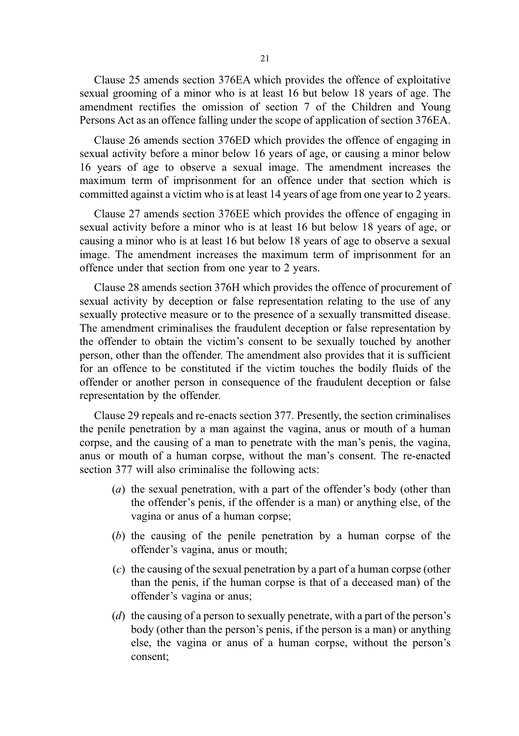Clause 25 amends section 376EA which provides the offence of exploitative sexual grooming of a minor who is at least 16 but below 18 years of age. The amendment rectifies the omission of section 7 of the Children and Young Persons Act as an offence falling under the scope of application of section 376EA.

Clause 26 amends section 376ED which provides the offence of engaging in sexual activity before a minor below 16 years of age, or causing a minor below 16 years of age to observe a sexual image. The amendment increases the maximum term of imprisonment for an offence under that section which is committed against a victim who is at least 14 years of age from one year to 2 years.

Clause 27 amends section 376EE which provides the offence of engaging in sexual activity before a minor who is at least 16 but below 18 years of age, or causing a minor who is at least 16 but below 18 years of age to observe a sexual image. The amendment increases the maximum term of imprisonment for an offence under that section from one year to 2 years.

Clause 28 amends section 376H which provides the offence of procurement of sexual activity by deception or false representation relating to the use of any sexually protective measure or to the presence of a sexually transmitted disease. The amendment criminalises the fraudulent deception or false representation by the offender to obtain the victim's consent to be sexually touched by another person, other than the offender. The amendment also provides that it is sufficient for an offence to be constituted if the victim touches the bodily fluids of the offender or another person in consequence of the fraudulent deception or false representation by the offender.

Clause 29 repeals and re-enacts section 377. Presently, the section criminalises the penile penetration by a man against the vagina, anus or mouth of a human corpse, and the causing of a man to penetrate with the man's penis, the vagina, anus or mouth of a human corpse, without the man's consent. The re-enacted section 377 will also criminalise the following acts:

- (a) the sexual penetration, with a part of the offender's body (other than the offender's penis, if the offender is a man) or anything else, of the vagina or anus of a human corpse;
- (b) the causing of the penile penetration by a human corpse of the offender's vagina, anus or mouth;
- (c) the causing of the sexual penetration by a part of a human corpse (other than the penis, if the human corpse is that of a deceased man) of the offender's vagina or anus;
- (d) the causing of a person to sexually penetrate, with a part of the person's body (other than the person's penis, if the person is a man) or anything else, the vagina or anus of a human corpse, without the person's consent;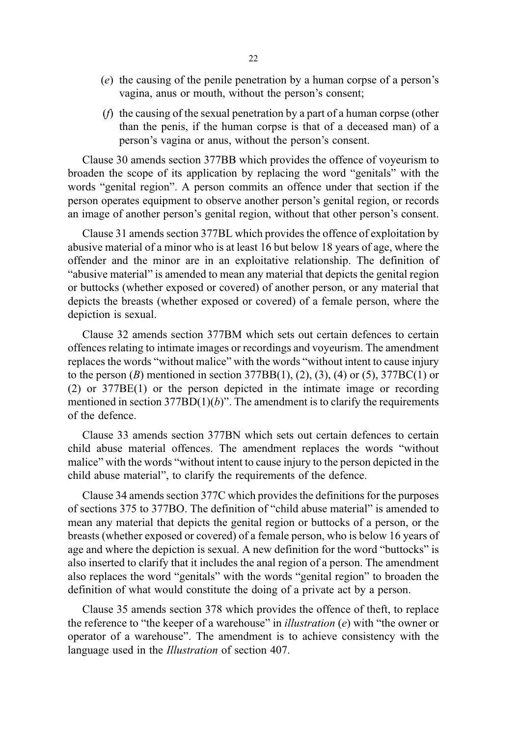- (e) the causing of the penile penetration by a human corpse of a person's vagina, anus or mouth, without the person's consent;
- (f) the causing of the sexual penetration by a part of a human corpse (other than the penis, if the human corpse is that of a deceased man) of a person's vagina or anus, without the person's consent.

Clause 30 amends section 377BB which provides the offence of voyeurism to broaden the scope of its application by replacing the word "genitals" with the words "genital region". A person commits an offence under that section if the person operates equipment to observe another person's genital region, or records an image of another person's genital region, without that other person's consent.

Clause 31 amends section 377BL which provides the offence of exploitation by abusive material of a minor who is at least 16 but below 18 years of age, where the offender and the minor are in an exploitative relationship. The definition of "abusive material" is amended to mean any material that depicts the genital region or buttocks (whether exposed or covered) of another person, or any material that depicts the breasts (whether exposed or covered) of a female person, where the depiction is sexual.

Clause 32 amends section 377BM which sets out certain defences to certain offences relating to intimate images or recordings and voyeurism. The amendment replaces the words "without malice" with the words "without intent to cause injury to the person  $(B)$  mentioned in section 377BB $(1)$ ,  $(2)$ ,  $(3)$ ,  $(4)$  or  $(5)$ , 377BC $(1)$  or (2) or 377BE(1) or the person depicted in the intimate image or recording mentioned in section  $377BD(1)(b)$ ". The amendment is to clarify the requirements of the defence.

Clause 33 amends section 377BN which sets out certain defences to certain child abuse material offences. The amendment replaces the words "without malice" with the words "without intent to cause injury to the person depicted in the child abuse material", to clarify the requirements of the defence.

Clause 34 amends section 377C which provides the definitions for the purposes of sections 375 to 377BO. The definition of "child abuse material" is amended to mean any material that depicts the genital region or buttocks of a person, or the breasts (whether exposed or covered) of a female person, who is below 16 years of age and where the depiction is sexual. A new definition for the word "buttocks" is also inserted to clarify that it includes the anal region of a person. The amendment also replaces the word "genitals" with the words "genital region" to broaden the definition of what would constitute the doing of a private act by a person.

Clause 35 amends section 378 which provides the offence of theft, to replace the reference to "the keeper of a warehouse" in *illustration*  $(e)$  with "the owner or operator of a warehouse". The amendment is to achieve consistency with the language used in the Illustration of section 407.